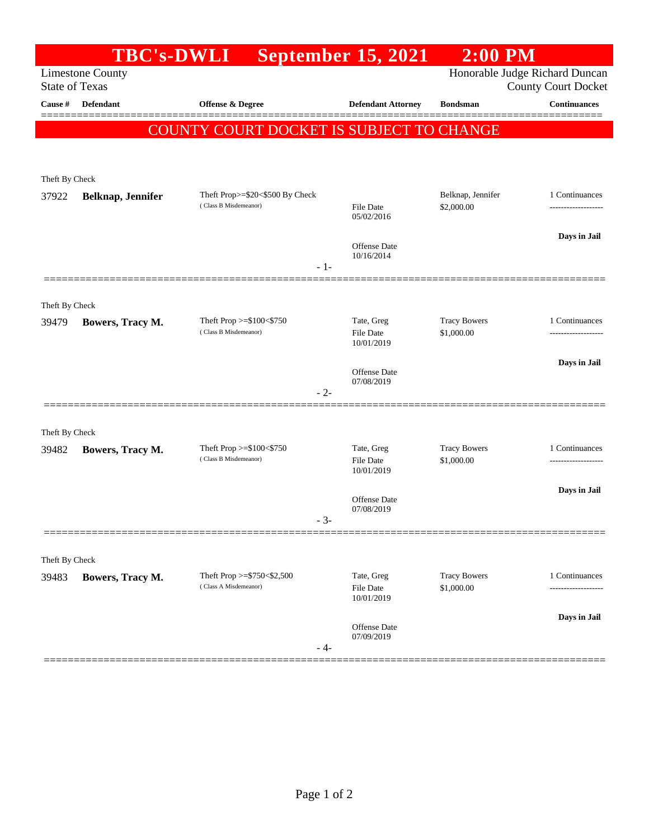| <b>Limestone County</b><br><b>State of Texas</b> |                                                                       |                                                              |                            |                                                              | $2:00$ PM           |
|--------------------------------------------------|-----------------------------------------------------------------------|--------------------------------------------------------------|----------------------------|--------------------------------------------------------------|---------------------|
|                                                  |                                                                       | Honorable Judge Richard Duncan<br><b>County Court Docket</b> |                            |                                                              |                     |
| Cause #                                          | Defendant                                                             | <b>Offense &amp; Degree</b>                                  | <b>Defendant Attorney</b>  | <b>Bondsman</b>                                              | <b>Continuances</b> |
|                                                  |                                                                       | COUNTY COURT DOCKET IS SUBJECT TO CHANGE                     |                            |                                                              |                     |
|                                                  |                                                                       |                                                              |                            |                                                              |                     |
| Theft By Check                                   |                                                                       |                                                              |                            |                                                              |                     |
| 37922                                            | Theft Prop>=\$20<\$500 By Check<br>Belknap, Jennifer                  |                                                              |                            | Belknap, Jennifer                                            | 1 Continuances      |
|                                                  |                                                                       | (Class B Misdemeanor)                                        | File Date<br>05/02/2016    | \$2,000.00                                                   | ------------------- |
|                                                  |                                                                       |                                                              |                            |                                                              | Days in Jail        |
|                                                  |                                                                       |                                                              | Offense Date<br>10/16/2014 |                                                              |                     |
|                                                  |                                                                       | $-1-$                                                        |                            |                                                              |                     |
|                                                  |                                                                       |                                                              |                            |                                                              |                     |
| Theft By Check<br>39479                          | Theft Prop >=\$100<\$750<br>Bowers, Tracy M.<br>(Class B Misdemeanor) |                                                              |                            | <b>Tracy Bowers</b><br>Tate, Greg<br>File Date<br>\$1,000.00 | 1 Continuances      |
|                                                  |                                                                       |                                                              | 10/01/2019                 |                                                              |                     |
|                                                  |                                                                       |                                                              |                            |                                                              | Days in Jail        |
|                                                  |                                                                       |                                                              | Offense Date<br>07/08/2019 |                                                              |                     |
|                                                  |                                                                       | $-2-$                                                        |                            |                                                              |                     |
|                                                  |                                                                       |                                                              |                            |                                                              |                     |
| Theft By Check<br>39482                          | Bowers, Tracy M.                                                      | Theft Prop $>=$ \$100 $<$ \$750                              | Tate, Greg                 | <b>Tracy Bowers</b>                                          | 1 Continuances      |
|                                                  | (Class B Misdemeanor)                                                 |                                                              | File Date<br>10/01/2019    | \$1,000.00                                                   |                     |
|                                                  |                                                                       |                                                              |                            |                                                              | Days in Jail        |
|                                                  |                                                                       |                                                              | Offense Date<br>07/08/2019 |                                                              |                     |
|                                                  |                                                                       |                                                              | $-3-$                      |                                                              |                     |
|                                                  |                                                                       |                                                              |                            |                                                              |                     |
| Theft By Check                                   |                                                                       | Theft Prop >=\$750<\$2,500                                   | Tate, Greg                 | <b>Tracy Bowers</b>                                          | 1 Continuances      |
| 39483                                            | Bowers, Tracy M.                                                      | (Class A Misdemeanor)                                        | File Date                  | \$1,000.00                                                   |                     |
|                                                  |                                                                       |                                                              | 10/01/2019                 |                                                              |                     |
|                                                  |                                                                       |                                                              | Offense Date<br>07/09/2019 |                                                              | Days in Jail        |
|                                                  |                                                                       | $-4-$                                                        |                            |                                                              |                     |